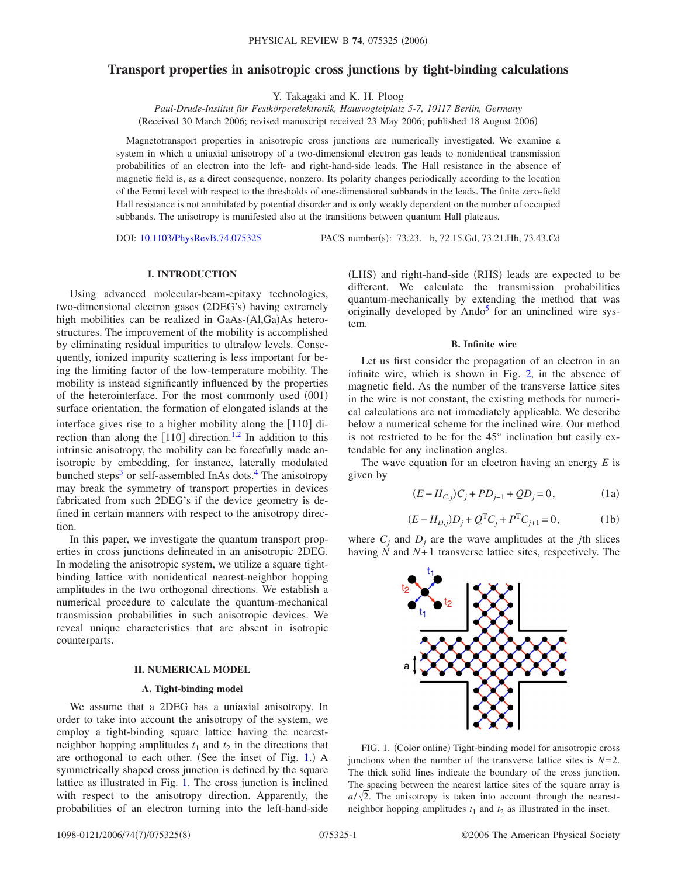# **Transport properties in anisotropic cross junctions by tight-binding calculations**

Y. Takagaki and K. H. Ploog

*Paul-Drude-Institut für Festkörperelektronik, Hausvogteiplatz 5-7, 10117 Berlin, Germany* (Received 30 March 2006; revised manuscript received 23 May 2006; published 18 August 2006)

Magnetotransport properties in anisotropic cross junctions are numerically investigated. We examine a system in which a uniaxial anisotropy of a two-dimensional electron gas leads to nonidentical transmission probabilities of an electron into the left- and right-hand-side leads. The Hall resistance in the absence of magnetic field is, as a direct consequence, nonzero. Its polarity changes periodically according to the location of the Fermi level with respect to the thresholds of one-dimensional subbands in the leads. The finite zero-field Hall resistance is not annihilated by potential disorder and is only weakly dependent on the number of occupied subbands. The anisotropy is manifested also at the transitions between quantum Hall plateaus.

DOI: [10.1103/PhysRevB.74.075325](http://dx.doi.org/10.1103/PhysRevB.74.075325)

PACS number(s): 73.23. - b, 72.15.Gd, 73.21.Hb, 73.43.Cd

# **I. INTRODUCTION**

Using advanced molecular-beam-epitaxy technologies, two-dimensional electron gases (2DEG's) having extremely high mobilities can be realized in GaAs-(Al,Ga)As heterostructures. The improvement of the mobility is accomplished by eliminating residual impurities to ultralow levels. Consequently, ionized impurity scattering is less important for being the limiting factor of the low-temperature mobility. The mobility is instead significantly influenced by the properties of the heterointerface. For the most commonly used (001) surface orientation, the formation of elongated islands at the interface gives rise to a higher mobility along the 1 *¯*10 direction than along the  $[110]$  direction.<sup>1[,2](#page-7-1)</sup> In addition to this intrinsic anisotropy, the mobility can be forcefully made anisotropic by embedding, for instance, laterally modulated bunched steps<sup>3</sup> or self-assembled InAs dots.<sup>4</sup> The anisotropy may break the symmetry of transport properties in devices fabricated from such 2DEG's if the device geometry is defined in certain manners with respect to the anisotropy direction.

In this paper, we investigate the quantum transport properties in cross junctions delineated in an anisotropic 2DEG. In modeling the anisotropic system, we utilize a square tightbinding lattice with nonidentical nearest-neighbor hopping amplitudes in the two orthogonal directions. We establish a numerical procedure to calculate the quantum-mechanical transmission probabilities in such anisotropic devices. We reveal unique characteristics that are absent in isotropic counterparts.

### **II. NUMERICAL MODEL**

# **A. Tight-binding model**

We assume that a 2DEG has a uniaxial anisotropy. In order to take into account the anisotropy of the system, we employ a tight-binding square lattice having the nearestneighbor hopping amplitudes  $t_1$  and  $t_2$  in the directions that are orthogonal to each other. (See the inset of Fig. [1.](#page-0-0)) A symmetrically shaped cross junction is defined by the square lattice as illustrated in Fig. [1.](#page-0-0) The cross junction is inclined with respect to the anisotropy direction. Apparently, the probabilities of an electron turning into the left-hand-side

(LHS) and right-hand-side (RHS) leads are expected to be different. We calculate the transmission probabilities quantum-mechanically by extending the method that was originally developed by  $\text{And} \sigma^5$  for an uninclined wire system.

#### **B. Infinite wire**

Let us first consider the propagation of an electron in an infinite wire, which is shown in Fig. [2,](#page-1-0) in the absence of magnetic field. As the number of the transverse lattice sites in the wire is not constant, the existing methods for numerical calculations are not immediately applicable. We describe below a numerical scheme for the inclined wire. Our method is not restricted to be for the 45° inclination but easily extendable for any inclination angles.

<span id="page-0-1"></span>The wave equation for an electron having an energy *E* is given by

$$
(E - H_{C,j})C_j + PD_{j-1} + QD_j = 0,
$$
 (1a)

$$
(E - H_{D,j})D_j + Q^{T}C_j + P^{T}C_{j+1} = 0,
$$
 (1b)

<span id="page-0-0"></span>where  $C_i$  and  $D_i$  are the wave amplitudes at the *j*th slices having  $\tilde{N}$  and  $N+1$  transverse lattice sites, respectively. The



FIG. 1. (Color online) Tight-binding model for anisotropic cross junctions when the number of the transverse lattice sites is  $N=2$ . The thick solid lines indicate the boundary of the cross junction. The spacing between the nearest lattice sites of the square array is  $a/\sqrt{2}$ . The anisotropy is taken into account through the nearestneighbor hopping amplitudes  $t_1$  and  $t_2$  as illustrated in the inset.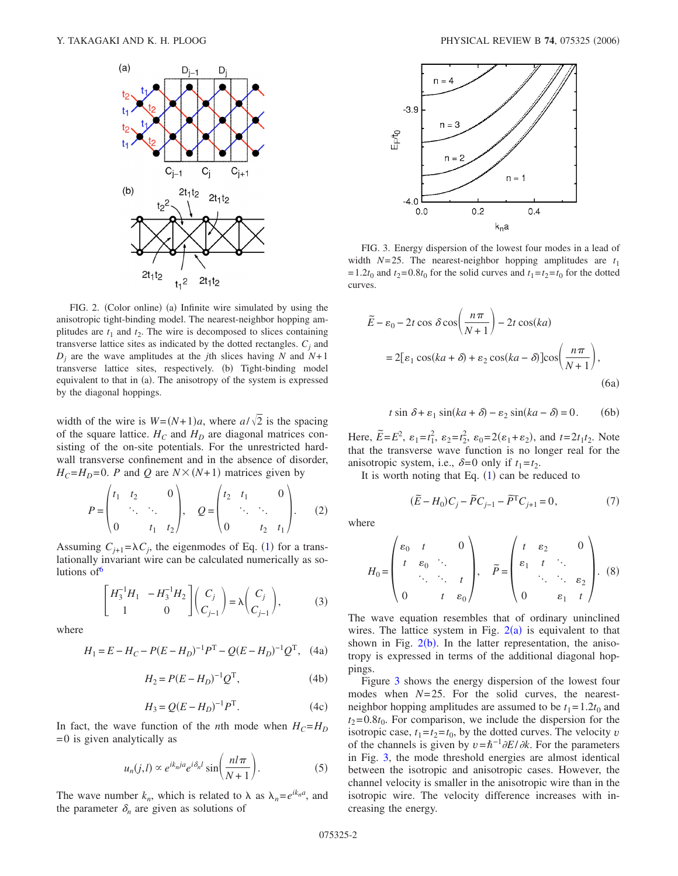<span id="page-1-0"></span>

FIG. 2. (Color online) (a) Infinite wire simulated by using the anisotropic tight-binding model. The nearest-neighbor hopping amplitudes are  $t_1$  and  $t_2$ . The wire is decomposed to slices containing transverse lattice sites as indicated by the dotted rectangles.  $C_i$  and  $D_i$  are the wave amplitudes at the *j*th slices having *N* and  $N+1$ transverse lattice sites, respectively. (b) Tight-binding model equivalent to that in (a). The anisotropy of the system is expressed by the diagonal hoppings.

width of the wire is  $W=(N+1)a$ , where  $a/\sqrt{2}$  is the spacing of the square lattice.  $H_C$  and  $H_D$  are diagonal matrices consisting of the on-site potentials. For the unrestricted hardwall transverse confinement and in the absence of disorder,  $H_C = H_D = 0$ . *P* and *Q* are  $N \times (N+1)$  matrices given by

$$
P = \begin{pmatrix} t_1 & t_2 & 0 \\ \ddots & \ddots & \ddots \\ 0 & t_1 & t_2 \end{pmatrix}, \quad Q = \begin{pmatrix} t_2 & t_1 & 0 \\ \ddots & \ddots & \ddots \\ 0 & t_2 & t_1 \end{pmatrix}.
$$
 (2)

<span id="page-1-3"></span>Assuming  $C_{j+1} = \lambda C_j$  $C_{j+1} = \lambda C_j$  $C_{j+1} = \lambda C_j$ , the eigenmodes of Eq. (1) for a translationally invariant wire can be calculated numerically as solutions of  $6$ 

$$
\begin{bmatrix} H_3^{-1}H_1 & -H_3^{-1}H_2 \ 1 & 0 \end{bmatrix} \begin{pmatrix} C_j \\ C_{j-1} \end{pmatrix} = \lambda \begin{pmatrix} C_j \\ C_{j-1} \end{pmatrix},
$$
 (3)

where

$$
H_1 = E - H_C - P(E - H_D)^{-1}P^{T} - Q(E - H_D)^{-1}Q^{T}, \quad (4a)
$$

$$
H_2 = P(E - H_D)^{-1} Q^{\mathrm{T}},\tag{4b}
$$

$$
H_3 = Q(E - H_D)^{-1}P^{\rm T}.
$$
 (4c)

<span id="page-1-2"></span>In fact, the wave function of the *n*th mode when  $H_C = H_D$  $= 0$  is given analytically as

$$
u_n(j,l) \propto e^{ik_nja} e^{i\delta_n l} \sin\left(\frac{n l \pi}{N+1}\right).
$$
 (5)

The wave number  $k_n$ , which is related to  $\lambda$  as  $\lambda_n = e^{ik_n a}$ , and the parameter  $\delta_n$  are given as solutions of

<span id="page-1-1"></span>

FIG. 3. Energy dispersion of the lowest four modes in a lead of width  $N=25$ . The nearest-neighbor hopping amplitudes are  $t_1$ = 1.2 $t_0$  and  $t_2$ = 0.8 $t_0$  for the solid curves and  $t_1 = t_2 = t_0$  for the dotted curves.

$$
\widetilde{E} - \varepsilon_0 - 2t \cos \delta \cos \left( \frac{n\pi}{N+1} \right) - 2t \cos(ka)
$$

$$
= 2[\varepsilon_1 \cos(ka + \delta) + \varepsilon_2 \cos(ka - \delta)] \cos \left( \frac{n\pi}{N+1} \right), \tag{6a}
$$

 $t \sin \delta + \varepsilon_1 \sin(ka + \delta) - \varepsilon_2 \sin(ka - \delta) = 0.$  (6b)  $(6b)$ 

Here,  $\tilde{E} = E^2$ ,  $\varepsilon_1 = t_1^2$ ,  $\varepsilon_2 = t_2^2$ ,  $\varepsilon_0 = 2(\varepsilon_1 + \varepsilon_2)$ , and  $t = 2t_1t_2$ . Note that the transverse wave function is no longer real for the anisotropic system, i.e.,  $\delta = 0$  only if  $t_1 = t_2$ .

<span id="page-1-4"></span>It is worth noting that Eq.  $(1)$  $(1)$  $(1)$  can be reduced to

$$
(\tilde{E} - H_0)C_j - \tilde{P}C_{j-1} - \tilde{P}^{\mathrm{T}}C_{j+1} = 0, \tag{7}
$$

where

$$
H_0 = \begin{pmatrix} \varepsilon_0 & t & 0 \\ t & \varepsilon_0 & \ddots & \\ & \ddots & \ddots & t \\ 0 & t & \varepsilon_0 \end{pmatrix}, \quad \widetilde{P} = \begin{pmatrix} t & \varepsilon_2 & 0 \\ \varepsilon_1 & t & \ddots & \\ & \ddots & \ddots & \varepsilon_2 \\ 0 & \varepsilon_1 & t \end{pmatrix}.
$$
 (8)

The wave equation resembles that of ordinary uninclined wires. The lattice system in Fig.  $2(a)$  $2(a)$  is equivalent to that shown in Fig.  $2(b)$  $2(b)$ . In the latter representation, the anisotropy is expressed in terms of the additional diagonal hoppings.

Figure [3](#page-1-1) shows the energy dispersion of the lowest four modes when *N*= 25. For the solid curves, the nearestneighbor hopping amplitudes are assumed to be  $t_1 = 1.2t_0$  and  $t_2$ =0.8 $t_0$ . For comparison, we include the dispersion for the isotropic case,  $t_1 = t_2 = t_0$ , by the dotted curves. The velocity *v* of the channels is given by  $v=\hbar^{-1}\partial E/\partial k$ . For the parameters in Fig. [3,](#page-1-1) the mode threshold energies are almost identical between the isotropic and anisotropic cases. However, the channel velocity is smaller in the anisotropic wire than in the isotropic wire. The velocity difference increases with increasing the energy.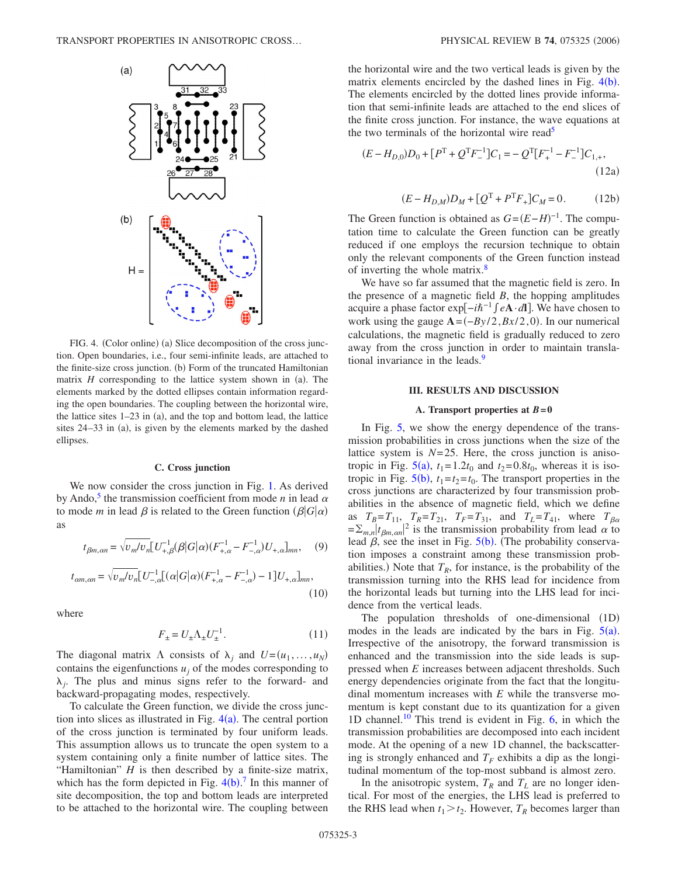<span id="page-2-0"></span>![](_page_2_Figure_1.jpeg)

FIG. 4. (Color online) (a) Slice decomposition of the cross junction. Open boundaries, i.e., four semi-infinite leads, are attached to the finite-size cross junction. (b) Form of the truncated Hamiltonian matrix  $H$  corresponding to the lattice system shown in  $(a)$ . The elements marked by the dotted ellipses contain information regarding the open boundaries. The coupling between the horizontal wire, the lattice sites  $1-23$  in (a), and the top and bottom lead, the lattice sites 24–33 in (a), is given by the elements marked by the dashed ellipses.

## **C. Cross junction**

We now consider the cross junction in Fig. [1.](#page-0-0) As derived by Ando,<sup>5</sup> the transmission coefficient from mode *n* in lead  $\alpha$ to mode *m* in lead  $\beta$  is related to the Green function  $(\beta|G|\alpha)$ as

$$
t_{\beta m,\alpha n} = \sqrt{v_m/v_n} \left[ U_{+,\beta}^{-1}(\beta | G | \alpha) (F_{+,\alpha}^{-1} - F_{-,\alpha}^{-1}) U_{+,\alpha} \right]_{mn}, \quad (9)
$$
  

$$
t_{\alpha m,\alpha n} = \sqrt{v_m/v_n} \left[ U_{-,\alpha}^{-1} \left[ (\alpha | G | \alpha) (F_{+,\alpha}^{-1} - F_{-,\alpha}^{-1}) - 1 \right] U_{+,\alpha} \right]_{mn}, \quad (10)
$$

where

$$
F_{\pm} = U_{\pm} \Lambda_{\pm} U_{\pm}^{-1}.
$$
\n<sup>(11)</sup>

The diagonal matrix  $\Lambda$  consists of  $\lambda_j$  and  $U = (u_1, \dots, u_N)$ contains the eigenfunctions  $u_i$  of the modes corresponding to  $\lambda_i$ . The plus and minus signs refer to the forward- and backward-propagating modes, respectively.

To calculate the Green function, we divide the cross junction into slices as illustrated in Fig.  $4(a)$  $4(a)$ . The central portion of the cross junction is terminated by four uniform leads. This assumption allows us to truncate the open system to a system containing only a finite number of lattice sites. The "Hamiltonian" *H* is then described by a finite-size matrix, which has the form depicted in Fig.  $4(b)$  $4(b)$ .<sup>[7](#page-7-6)</sup> In this manner of site decomposition, the top and bottom leads are interpreted to be attached to the horizontal wire. The coupling between the horizontal wire and the two vertical leads is given by the matrix elements encircled by the dashed lines in Fig.  $4(b)$  $4(b)$ . The elements encircled by the dotted lines provide information that semi-infinite leads are attached to the end slices of the finite cross junction. For instance, the wave equations at the two terminals of the horizontal wire read<sup>5</sup>

$$
(E - H_{D,0})D_0 + [P^T + Q^T F^{-1}]C_1 = -Q^T [F_+^{-1} - F_-^{-1}]C_{1,+},
$$
\n(12a)

$$
(E - H_{D,M})D_M + [Q^{\mathrm{T}} + P^{\mathrm{T}} F_+]C_M = 0.
$$
 (12b)

The Green function is obtained as  $G = (E - H)^{-1}$ . The computation time to calculate the Green function can be greatly reduced if one employs the recursion technique to obtain only the relevant components of the Green function instead of inverting the whole matrix.<sup>8</sup>

We have so far assumed that the magnetic field is zero. In the presence of a magnetic field *B*, the hopping amplitudes acquire a phase factor exp−*i*−1 *e***A**·*d***l**. We have chosen to work using the gauge  $A = (-By/2, Bx/2, 0)$ . In our numerical calculations, the magnetic field is gradually reduced to zero away from the cross junction in order to maintain translational invariance in the leads.<sup>9</sup>

#### **III. RESULTS AND DISCUSSION**

#### **A. Transport properties at** *B***= 0**

In Fig. [5,](#page-3-0) we show the energy dependence of the transmission probabilities in cross junctions when the size of the lattice system is  $N=25$ . Here, the cross junction is anisotropic in Fig.  $5(a)$  $5(a)$ ,  $t_1 = 1.2t_0$  and  $t_2 = 0.8t_0$ , whereas it is isotropic in Fig.  $5(b)$  $5(b)$ ,  $t_1 = t_2 = t_0$ . The transport properties in the cross junctions are characterized by four transmission probabilities in the absence of magnetic field, which we define as  $T_B = T_{11}$ ,  $T_R = T_{21}$ ,  $T_F = T_{31}$ , and  $T_L = T_{41}$ , where  $T_{\beta\alpha} = \sum_{m,n} |t_{\beta m,\alpha n}|^2$  is the transmission probability from lead  $\alpha$  to lead  $\beta$ , see the inset in Fig. [5](#page-3-0)(b). (The probability conservation imposes a constraint among these transmission probabilities.) Note that  $T_R$ , for instance, is the probability of the transmission turning into the RHS lead for incidence from the horizontal leads but turning into the LHS lead for incidence from the vertical leads.

The population thresholds of one-dimensional  $(1D)$ modes in the leads are indicated by the bars in Fig.  $5(a)$  $5(a)$ . Irrespective of the anisotropy, the forward transmission is enhanced and the transmission into the side leads is suppressed when *E* increases between adjacent thresholds. Such energy dependencies originate from the fact that the longitudinal momentum increases with *E* while the transverse momentum is kept constant due to its quantization for a given 1D channel.<sup>10</sup> This trend is evident in Fig.  $6$ , in which the transmission probabilities are decomposed into each incident mode. At the opening of a new 1D channel, the backscattering is strongly enhanced and  $T_F$  exhibits a dip as the longitudinal momentum of the top-most subband is almost zero.

In the anisotropic system,  $T_R$  and  $T_L$  are no longer identical. For most of the energies, the LHS lead is preferred to the RHS lead when  $t_1 > t_2$ . However,  $T_R$  becomes larger than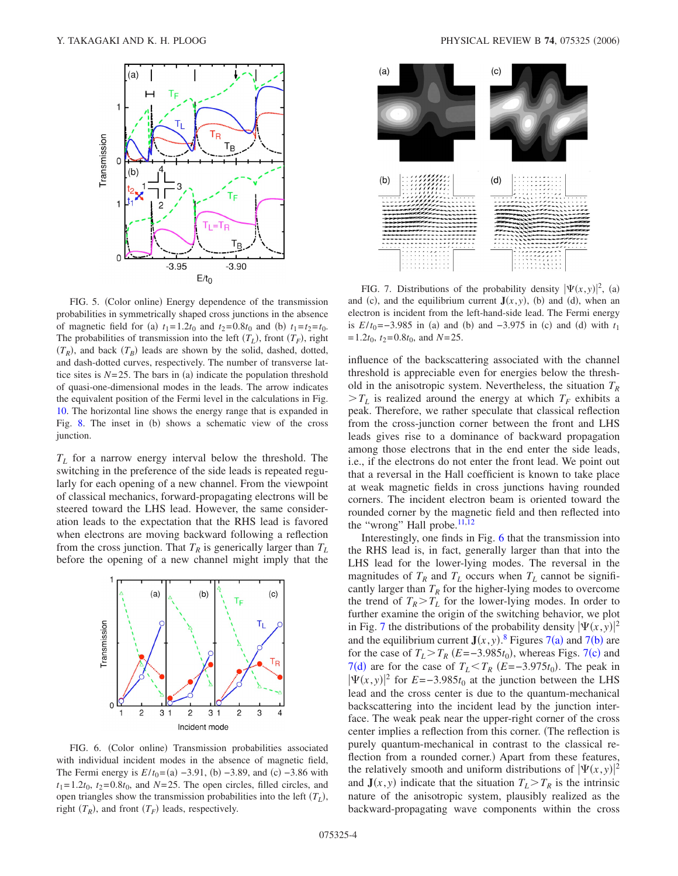<span id="page-3-0"></span>![](_page_3_Figure_1.jpeg)

FIG. 5. (Color online) Energy dependence of the transmission probabilities in symmetrically shaped cross junctions in the absence of magnetic field for (a)  $t_1 = 1.2t_0$  and  $t_2 = 0.8t_0$  and (b)  $t_1 = t_2 = t_0$ . The probabilities of transmission into the left  $(T_L)$ , front  $(T_F)$ , right  $(T_R)$ , and back  $(T_B)$  leads are shown by the solid, dashed, dotted, and dash-dotted curves, respectively. The number of transverse lattice sites is  $N=25$ . The bars in (a) indicate the population threshold of quasi-one-dimensional modes in the leads. The arrow indicates the equivalent position of the Fermi level in the calculations in Fig. [10.](#page-5-0) The horizontal line shows the energy range that is expanded in Fig. [8.](#page-4-0) The inset in (b) shows a schematic view of the cross junction.

*TL* for a narrow energy interval below the threshold. The switching in the preference of the side leads is repeated regularly for each opening of a new channel. From the viewpoint of classical mechanics, forward-propagating electrons will be steered toward the LHS lead. However, the same consideration leads to the expectation that the RHS lead is favored when electrons are moving backward following a reflection from the cross junction. That  $T_R$  is generically larger than  $T_L$ before the opening of a new channel might imply that the

<span id="page-3-1"></span>![](_page_3_Figure_4.jpeg)

FIG. 6. (Color online) Transmission probabilities associated with individual incident modes in the absence of magnetic field, The Fermi energy is  $E/t_0 = (a) -3.91$ , (b)  $-3.89$ , and (c)  $-3.86$  with  $t_1 = 1.2t_0$ ,  $t_2 = 0.8t_0$ , and  $N = 25$ . The open circles, filled circles, and open triangles show the transmission probabilities into the left  $(T_L)$ , right  $(T_R)$ , and front  $(T_F)$  leads, respectively.

<span id="page-3-2"></span>![](_page_3_Figure_7.jpeg)

FIG. 7. Distributions of the probability density  $|\Psi(x, y)|^2$ , (a) and (c), and the equilibrium current  $J(x, y)$ , (b) and (d), when an electron is incident from the left-hand-side lead. The Fermi energy is  $E/t_0 = -3.985$  in (a) and (b) and  $-3.975$  in (c) and (d) with  $t_1$  $= 1.2t_0$ ,  $t_2 = 0.8t_0$ , and  $N = 25$ .

influence of the backscattering associated with the channel threshold is appreciable even for energies below the threshold in the anisotropic system. Nevertheless, the situation  $T_R$  $>T_L$  is realized around the energy at which  $T_F$  exhibits a peak. Therefore, we rather speculate that classical reflection from the cross-junction corner between the front and LHS leads gives rise to a dominance of backward propagation among those electrons that in the end enter the side leads, i.e., if the electrons do not enter the front lead. We point out that a reversal in the Hall coefficient is known to take place at weak magnetic fields in cross junctions having rounded corners. The incident electron beam is oriented toward the rounded corner by the magnetic field and then reflected into the "wrong" Hall probe.<sup>11,[12](#page-7-11)</sup>

Interestingly, one finds in Fig. [6](#page-3-1) that the transmission into the RHS lead is, in fact, generally larger than that into the LHS lead for the lower-lying modes. The reversal in the magnitudes of  $T_R$  and  $T_L$  occurs when  $T_L$  cannot be significantly larger than  $T_R$  for the higher-lying modes to overcome the trend of  $T_R > T_L$  for the lower-lying modes. In order to further examine the origin of the switching behavior, we plot in Fig. [7](#page-3-2) the distributions of the probability density  $|\Psi(x, y)|^2$ and the equilibrium current  $J(x, y)$ .<sup>[8](#page-7-7)</sup> Figures [7](#page-3-2)(a) and 7(b) are for the case of  $T_L > T_R$  ( $E = -3.985t_0$ ), whereas Figs. [7](#page-3-2)(c) and [7](#page-3-2)(d) are for the case of  $T_L < T_R$  ( $E = -3.975t_0$ ). The peak in  $|\Psi(x, y)|^2$  for *E*=−3.985*t*<sub>0</sub> at the junction between the LHS lead and the cross center is due to the quantum-mechanical backscattering into the incident lead by the junction interface. The weak peak near the upper-right corner of the cross center implies a reflection from this corner. The reflection is purely quantum-mechanical in contrast to the classical reflection from a rounded corner.) Apart from these features, the relatively smooth and uniform distributions of  $|\Psi(x, y)|^2$ and  $J(x, y)$  indicate that the situation  $T_L > T_R$  is the intrinsic nature of the anisotropic system, plausibly realized as the backward-propagating wave components within the cross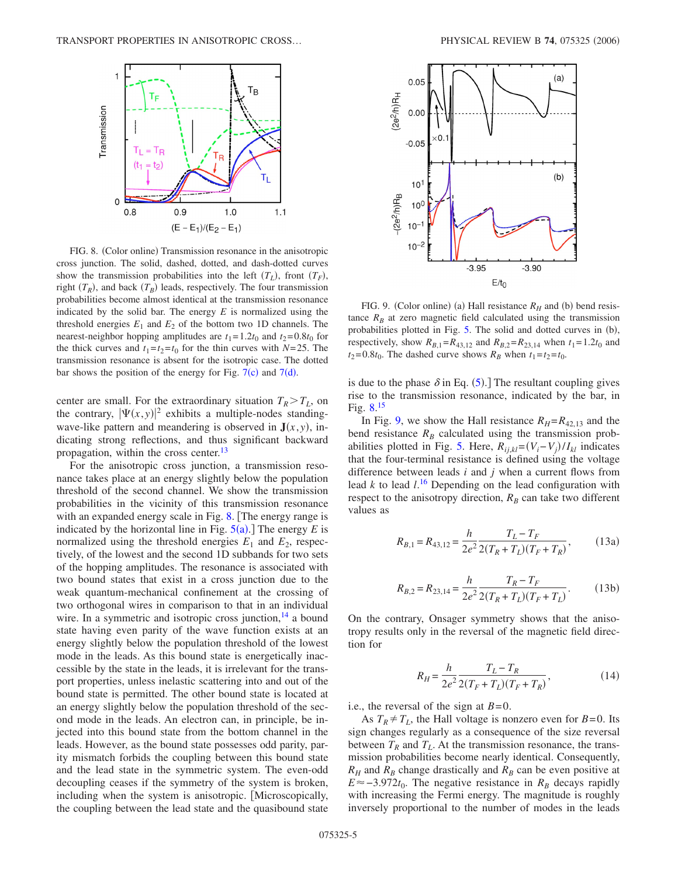<span id="page-4-0"></span>![](_page_4_Figure_1.jpeg)

FIG. 8. (Color online) Transmission resonance in the anisotropic cross junction. The solid, dashed, dotted, and dash-dotted curves show the transmission probabilities into the left  $(T_L)$ , front  $(T_F)$ , right  $(T_R)$ , and back  $(T_B)$  leads, respectively. The four transmission probabilities become almost identical at the transmission resonance indicated by the solid bar. The energy *E* is normalized using the threshold energies  $E_1$  and  $E_2$  of the bottom two 1D channels. The nearest-neighbor hopping amplitudes are  $t_1 = 1.2t_0$  and  $t_2 = 0.8t_0$  for the thick curves and  $t_1 = t_2 = t_0$  for the thin curves with  $N = 25$ . The transmission resonance is absent for the isotropic case. The dotted bar shows the position of the energy for Fig.  $7(c)$  $7(c)$  and  $7(d)$ .

center are small. For the extraordinary situation  $T_R > T_L$ , on the contrary,  $|\Psi(x, y)|^2$  exhibits a multiple-nodes standingwave-like pattern and meandering is observed in  $J(x, y)$ , indicating strong reflections, and thus significant backward propagation, within the cross center.<sup>13</sup>

For the anisotropic cross junction, a transmission resonance takes place at an energy slightly below the population threshold of the second channel. We show the transmission probabilities in the vicinity of this transmission resonance with an expanded energy scale in Fig. [8.](#page-4-0) The energy range is indicated by the horizontal line in Fig.  $5(a)$  $5(a)$ .] The energy *E* is normalized using the threshold energies  $E_1$  and  $E_2$ , respectively, of the lowest and the second 1D subbands for two sets of the hopping amplitudes. The resonance is associated with two bound states that exist in a cross junction due to the weak quantum-mechanical confinement at the crossing of two orthogonal wires in comparison to that in an individual wire. In a symmetric and isotropic cross junction, $^{14}$  a bound state having even parity of the wave function exists at an energy slightly below the population threshold of the lowest mode in the leads. As this bound state is energetically inaccessible by the state in the leads, it is irrelevant for the transport properties, unless inelastic scattering into and out of the bound state is permitted. The other bound state is located at an energy slightly below the population threshold of the second mode in the leads. An electron can, in principle, be injected into this bound state from the bottom channel in the leads. However, as the bound state possesses odd parity, parity mismatch forbids the coupling between this bound state and the lead state in the symmetric system. The even-odd decoupling ceases if the symmetry of the system is broken, including when the system is anisotropic. Microscopically, the coupling between the lead state and the quasibound state

<span id="page-4-1"></span>![](_page_4_Figure_6.jpeg)

FIG. 9. (Color online) (a) Hall resistance  $R_H$  and (b) bend resistance  $R_B$  at zero magnetic field calculated using the transmission probabilities plotted in Fig.  $5$ . The solid and dotted curves in  $(b)$ , respectively, show  $R_{B,1} = R_{43,12}$  and  $R_{B,2} = R_{23,14}$  when  $t_1 = 1.2t_0$  and  $t_2$ = 0.8 $t_0$ . The dashed curve shows  $R_B$  when  $t_1$  =  $t_2$  =  $t_0$ .

is due to the phase  $\delta$  in Eq. ([5](#page-1-2)).] The resultant coupling gives rise to the transmission resonance, indicated by the bar, in Fig. [8.](#page-4-0) [15](#page-7-14)

In Fig. [9,](#page-4-1) we show the Hall resistance  $R_H = R_{42,13}$  and the bend resistance  $R_B$  calculated using the transmission prob-abilities plotted in Fig. [5.](#page-3-0) Here,  $R_{ij,kl} = (V_i - V_j) / I_{kl}$  indicates that the four-terminal resistance is defined using the voltage difference between leads *i* and *j* when a current flows from lead  $k$  to lead  $l<sup>16</sup>$  $l<sup>16</sup>$  $l<sup>16</sup>$  Depending on the lead configuration with respect to the anisotropy direction,  $R_B$  can take two different values as

<span id="page-4-2"></span>
$$
R_{B,1} = R_{43,12} = \frac{h}{2e^2} \frac{T_L - T_F}{2(T_R + T_L)(T_F + T_R)},
$$
(13a)

$$
R_{B,2} = R_{23,14} = \frac{h}{2e^2} \frac{T_R - T_F}{2(T_R + T_L)(T_F + T_L)}.
$$
 (13b)

On the contrary, Onsager symmetry shows that the anisotropy results only in the reversal of the magnetic field direction for

$$
R_H = \frac{h}{2e^2} \frac{T_L - T_R}{2(T_F + T_L)(T_F + T_R)},
$$
(14)

<span id="page-4-3"></span>i.e., the reversal of the sign at  $B=0$ .

As  $T_R \neq T_L$ , the Hall voltage is nonzero even for  $B=0$ . Its sign changes regularly as a consequence of the size reversal between  $T_R$  and  $T_L$ . At the transmission resonance, the transmission probabilities become nearly identical. Consequently,  $R_H$  and  $R_B$  change drastically and  $R_B$  can be even positive at  $E \approx -3.972t_0$ . The negative resistance in  $R_B$  decays rapidly with increasing the Fermi energy. The magnitude is roughly inversely proportional to the number of modes in the leads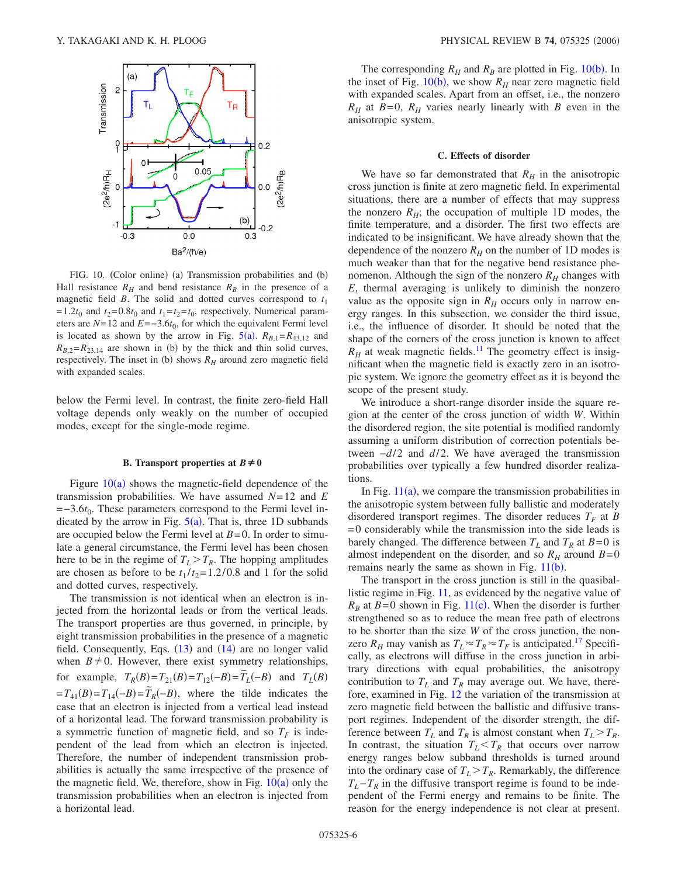<span id="page-5-0"></span>![](_page_5_Figure_1.jpeg)

FIG. 10. (Color online) (a) Transmission probabilities and (b) Hall resistance  $R_H$  and bend resistance  $R_B$  in the presence of a magnetic field *B*. The solid and dotted curves correspond to  $t_1$  $t_1 = 1.2t_0$  and  $t_2 = 0.8t_0$  and  $t_1 = t_2 = t_0$ , respectively. Numerical parameters are  $N=12$  and  $E=-3.6t_0$ , for which the equivalent Fermi level is located as shown by the arrow in Fig.  $5(a)$  $5(a)$ .  $R_{B,1}=R_{43,12}$  and  $R_{B,2} = R_{23,14}$  are shown in (b) by the thick and thin solid curves, respectively. The inset in (b) shows  $R_H$  around zero magnetic field with expanded scales.

below the Fermi level. In contrast, the finite zero-field Hall voltage depends only weakly on the number of occupied modes, except for the single-mode regime.

#### **B.** Transport properties at  $B \neq 0$

Figure  $10(a)$  $10(a)$  shows the magnetic-field dependence of the transmission probabilities. We have assumed *N*= 12 and *E* =−3.6*t*0. These parameters correspond to the Fermi level indicated by the arrow in Fig.  $5(a)$  $5(a)$ . That is, three 1D subbands are occupied below the Fermi level at  $B=0$ . In order to simulate a general circumstance, the Fermi level has been chosen here to be in the regime of  $T_L > T_R$ . The hopping amplitudes are chosen as before to be  $t_1/t_2 = 1.2/0.8$  and 1 for the solid and dotted curves, respectively.

The transmission is not identical when an electron is injected from the horizontal leads or from the vertical leads. The transport properties are thus governed, in principle, by eight transmission probabilities in the presence of a magnetic field. Consequently, Eqs. ([13](#page-4-2)) and ([14](#page-4-3)) are no longer valid when  $B \neq 0$ . However, there exist symmetry relationships, for example,  $T_R(B) = T_{21}(B) = T_{12}(-B) = \tilde{T}_L(-B)$  and  $T_L(B)$  $=T_{41}(B) = T_{14}(-B) = T_{R}(-B)$ , where the tilde indicates the case that an electron is injected from a vertical lead instead of a horizontal lead. The forward transmission probability is a symmetric function of magnetic field, and so  $T_F$  is independent of the lead from which an electron is injected. Therefore, the number of independent transmission probabilities is actually the same irrespective of the presence of the magnetic field. We, therefore, show in Fig.  $10(a)$  $10(a)$  only the transmission probabilities when an electron is injected from a horizontal lead.

The corresponding  $R_H$  and  $R_B$  are plotted in Fig. [10](#page-5-0)(b). In the inset of Fig.  $10(b)$  $10(b)$ , we show  $R_H$  near zero magnetic field with expanded scales. Apart from an offset, i.e., the nonzero  $R_H$  at  $B=0$ ,  $R_H$  varies nearly linearly with *B* even in the anisotropic system.

#### **C. Effects of disorder**

We have so far demonstrated that  $R_H$  in the anisotropic cross junction is finite at zero magnetic field. In experimental situations, there are a number of effects that may suppress the nonzero  $R_H$ ; the occupation of multiple 1D modes, the finite temperature, and a disorder. The first two effects are indicated to be insignificant. We have already shown that the dependence of the nonzero  $R_H$  on the number of 1D modes is much weaker than that for the negative bend resistance phenomenon. Although the sign of the nonzero  $R<sub>H</sub>$  changes with *E*, thermal averaging is unlikely to diminish the nonzero value as the opposite sign in  $R<sub>H</sub>$  occurs only in narrow energy ranges. In this subsection, we consider the third issue, i.e., the influence of disorder. It should be noted that the shape of the corners of the cross junction is known to affect  $R_H$  at weak magnetic fields.<sup>11</sup> The geometry effect is insignificant when the magnetic field is exactly zero in an isotropic system. We ignore the geometry effect as it is beyond the scope of the present study.

We introduce a short-range disorder inside the square region at the center of the cross junction of width *W*. Within the disordered region, the site potential is modified randomly assuming a uniform distribution of correction potentials between *−d*/2 and *d*/2. We have averaged the transmission probabilities over typically a few hundred disorder realizations.

In Fig.  $11(a)$  $11(a)$ , we compare the transmission probabilities in the anisotropic system between fully ballistic and moderately disordered transport regimes. The disorder reduces  $T_F$  at *B* = 0 considerably while the transmission into the side leads is barely changed. The difference between  $T_L$  and  $T_R$  at  $B=0$  is almost independent on the disorder, and so  $R_H$  around  $B=0$ remains nearly the same as shown in Fig.  $11(b)$  $11(b)$ .

The transport in the cross junction is still in the quasiballistic regime in Fig. [11,](#page-6-0) as evidenced by the negative value of  $R_B$  at  $B=0$  shown in Fig. [11](#page-6-0)(c). When the disorder is further strengthened so as to reduce the mean free path of electrons to be shorter than the size *W* of the cross junction, the nonzero  $R_H$  may vanish as  $T_L \approx T_R \approx T_F$  is anticipated.<sup>17</sup> Specifically, as electrons will diffuse in the cross junction in arbitrary directions with equal probabilities, the anisotropy contribution to  $T_L$  and  $T_R$  may average out. We have, therefore, examined in Fig. [12](#page-6-1) the variation of the transmission at zero magnetic field between the ballistic and diffusive transport regimes. Independent of the disorder strength, the difference between  $T_L$  and  $T_R$  is almost constant when  $T_L > T_R$ . In contrast, the situation  $T_L < T_R$  that occurs over narrow energy ranges below subband thresholds is turned around into the ordinary case of  $T_L > T_R$ . Remarkably, the difference  $T_L-T_R$  in the diffusive transport regime is found to be independent of the Fermi energy and remains to be finite. The reason for the energy independence is not clear at present.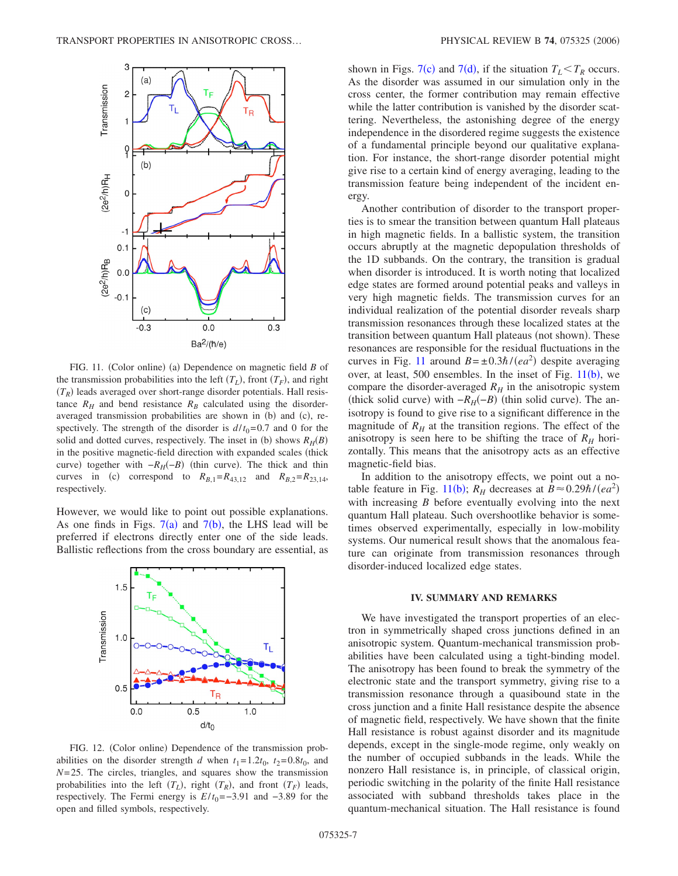<span id="page-6-0"></span>![](_page_6_Figure_1.jpeg)

FIG. 11. (Color online) (a) Dependence on magnetic field *B* of the transmission probabilities into the left  $(T_L)$ , front  $(T_F)$ , and right  $(T_R)$  leads averaged over short-range disorder potentials. Hall resistance  $R_H$  and bend resistance  $R_B$  calculated using the disorderaveraged transmission probabilities are shown in (b) and (c), respectively. The strength of the disorder is  $d/t_0 = 0.7$  and 0 for the solid and dotted curves, respectively. The inset in (b) shows  $R_H(B)$ in the positive magnetic-field direction with expanded scales (thick curve) together with  $-R_H(-B)$  (thin curve). The thick and thin curves in (c) correspond to  $R_{B,1} = R_{43,12}$  and  $R_{B,2} = R_{23,14}$ , respectively.

However, we would like to point out possible explanations. As one finds in Figs.  $7(a)$  $7(a)$  and  $7(b)$ , the LHS lead will be preferred if electrons directly enter one of the side leads. Ballistic reflections from the cross boundary are essential, as

<span id="page-6-1"></span>![](_page_6_Figure_4.jpeg)

FIG. 12. (Color online) Dependence of the transmission probabilities on the disorder strength *d* when  $t_1 = 1.2t_0$ ,  $t_2 = 0.8t_0$ , and *N*= 25. The circles, triangles, and squares show the transmission probabilities into the left  $(T_L)$ , right  $(T_R)$ , and front  $(T_F)$  leads, respectively. The Fermi energy is  $E/t_0 = -3.91$  and  $-3.89$  for the open and filled symbols, respectively.

shown in Figs. [7](#page-3-2)(c) and 7(d), if the situation  $T_L < T_R$  occurs. As the disorder was assumed in our simulation only in the cross center, the former contribution may remain effective while the latter contribution is vanished by the disorder scattering. Nevertheless, the astonishing degree of the energy independence in the disordered regime suggests the existence of a fundamental principle beyond our qualitative explanation. For instance, the short-range disorder potential might give rise to a certain kind of energy averaging, leading to the transmission feature being independent of the incident energy.

Another contribution of disorder to the transport properties is to smear the transition between quantum Hall plateaus in high magnetic fields. In a ballistic system, the transition occurs abruptly at the magnetic depopulation thresholds of the 1D subbands. On the contrary, the transition is gradual when disorder is introduced. It is worth noting that localized edge states are formed around potential peaks and valleys in very high magnetic fields. The transmission curves for an individual realization of the potential disorder reveals sharp transmission resonances through these localized states at the transition between quantum Hall plateaus (not shown). These resonances are responsible for the residual fluctuations in the curves in Fig. [11](#page-6-0) around  $B = \pm 0.3\hbar/(ea^2)$  despite averaging over, at least, 500 ensembles. In the inset of Fig.  $11(b)$  $11(b)$ , we compare the disorder-averaged  $R_H$  in the anisotropic system (thick solid curve) with  $-R_H(-B)$  (thin solid curve). The anisotropy is found to give rise to a significant difference in the magnitude of  $R_H$  at the transition regions. The effect of the anisotropy is seen here to be shifting the trace of  $R_H$  horizontally. This means that the anisotropy acts as an effective magnetic-field bias.

In addition to the anisotropy effects, we point out a no-table feature in Fig. [11](#page-6-0)(b);  $R_H$  decreases at  $B \approx 0.29 \hbar / (ea^2)$ with increasing *B* before eventually evolving into the next quantum Hall plateau. Such overshootlike behavior is sometimes observed experimentally, especially in low-mobility systems. Our numerical result shows that the anomalous feature can originate from transmission resonances through disorder-induced localized edge states.

#### **IV. SUMMARY AND REMARKS**

We have investigated the transport properties of an electron in symmetrically shaped cross junctions defined in an anisotropic system. Quantum-mechanical transmission probabilities have been calculated using a tight-binding model. The anisotropy has been found to break the symmetry of the electronic state and the transport symmetry, giving rise to a transmission resonance through a quasibound state in the cross junction and a finite Hall resistance despite the absence of magnetic field, respectively. We have shown that the finite Hall resistance is robust against disorder and its magnitude depends, except in the single-mode regime, only weakly on the number of occupied subbands in the leads. While the nonzero Hall resistance is, in principle, of classical origin, periodic switching in the polarity of the finite Hall resistance associated with subband thresholds takes place in the quantum-mechanical situation. The Hall resistance is found